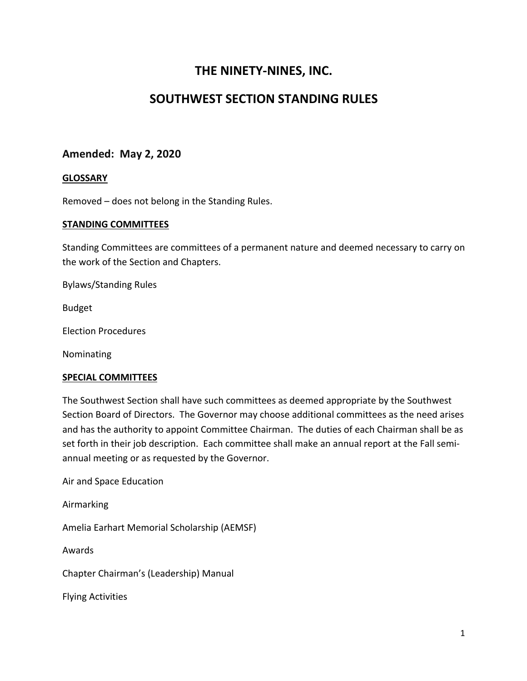# **THE NINETY-NINES, INC.**

# **SOUTHWEST SECTION STANDING RULES**

# **Amended: May 2, 2020**

### **GLOSSARY**

Removed – does not belong in the Standing Rules.

### **STANDING COMMITTEES**

Standing Committees are committees of a permanent nature and deemed necessary to carry on the work of the Section and Chapters.

Bylaws/Standing Rules

Budget

Election Procedures

Nominating

### **SPECIAL COMMITTEES**

The Southwest Section shall have such committees as deemed appropriate by the Southwest Section Board of Directors. The Governor may choose additional committees as the need arises and has the authority to appoint Committee Chairman. The duties of each Chairman shall be as set forth in their job description. Each committee shall make an annual report at the Fall semiannual meeting or as requested by the Governor.

Air and Space Education

Airmarking

Amelia Earhart Memorial Scholarship (AEMSF)

Awards

Chapter Chairman's (Leadership) Manual

Flying Activities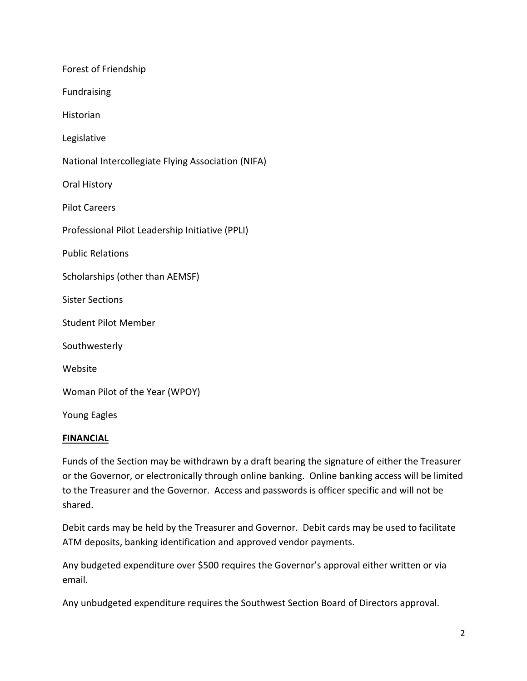| Forest of Friendship                               |
|----------------------------------------------------|
| Fundraising                                        |
| Historian                                          |
| Legislative                                        |
| National Intercollegiate Flying Association (NIFA) |
| Oral History                                       |
| <b>Pilot Careers</b>                               |
| Professional Pilot Leadership Initiative (PPLI)    |
| <b>Public Relations</b>                            |
| Scholarships (other than AEMSF)                    |
| <b>Sister Sections</b>                             |
| <b>Student Pilot Member</b>                        |
| Southwesterly                                      |
| Website                                            |
| Woman Pilot of the Year (WPOY)                     |
| <b>Young Eagles</b>                                |

### **FINANCIAL**

Funds of the Section may be withdrawn by a draft bearing the signature of either the Treasurer or the Governor, or electronically through online banking. Online banking access will be limited to the Treasurer and the Governor. Access and passwords is officer specific and will not be shared.

Debit cards may be held by the Treasurer and Governor. Debit cards may be used to facilitate ATM deposits, banking identification and approved vendor payments.

Any budgeted expenditure over \$500 requires the Governor's approval either written or via email.

Any unbudgeted expenditure requires the Southwest Section Board of Directors approval.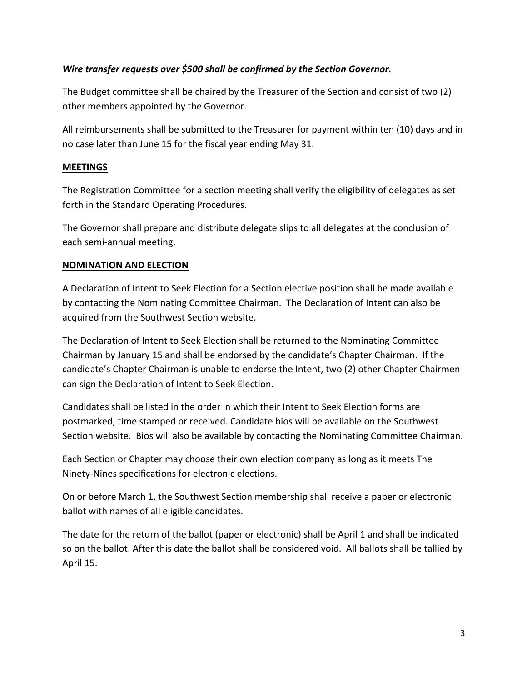# *Wire transfer requests over \$500 shall be confirmed by the Section Governor.*

The Budget committee shall be chaired by the Treasurer of the Section and consist of two (2) other members appointed by the Governor.

All reimbursements shall be submitted to the Treasurer for payment within ten (10) days and in no case later than June 15 for the fiscal year ending May 31.

## **MEETINGS**

The Registration Committee for a section meeting shall verify the eligibility of delegates as set forth in the Standard Operating Procedures.

The Governor shall prepare and distribute delegate slips to all delegates at the conclusion of each semi-annual meeting.

## **NOMINATION AND ELECTION**

A Declaration of Intent to Seek Election for a Section elective position shall be made available by contacting the Nominating Committee Chairman. The Declaration of Intent can also be acquired from the Southwest Section website.

The Declaration of Intent to Seek Election shall be returned to the Nominating Committee Chairman by January 15 and shall be endorsed by the candidate's Chapter Chairman. If the candidate's Chapter Chairman is unable to endorse the Intent, two (2) other Chapter Chairmen can sign the Declaration of Intent to Seek Election.

Candidates shall be listed in the order in which their Intent to Seek Election forms are postmarked, time stamped or received. Candidate bios will be available on the Southwest Section website. Bios will also be available by contacting the Nominating Committee Chairman.

Each Section or Chapter may choose their own election company as long as it meets The Ninety-Nines specifications for electronic elections.

On or before March 1, the Southwest Section membership shall receive a paper or electronic ballot with names of all eligible candidates.

The date for the return of the ballot (paper or electronic) shall be April 1 and shall be indicated so on the ballot. After this date the ballot shall be considered void. All ballots shall be tallied by April 15.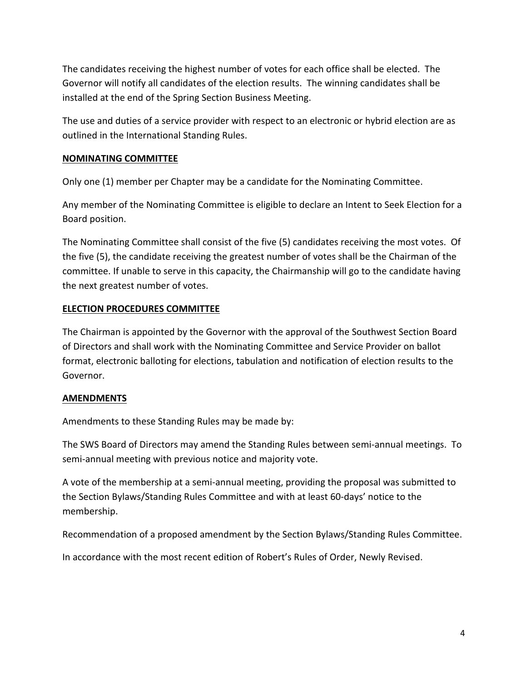The candidates receiving the highest number of votes for each office shall be elected. The Governor will notify all candidates of the election results. The winning candidates shall be installed at the end of the Spring Section Business Meeting.

The use and duties of a service provider with respect to an electronic or hybrid election are as outlined in the International Standing Rules.

## **NOMINATING COMMITTEE**

Only one (1) member per Chapter may be a candidate for the Nominating Committee.

Any member of the Nominating Committee is eligible to declare an Intent to Seek Election for a Board position.

The Nominating Committee shall consist of the five (5) candidates receiving the most votes. Of the five (5), the candidate receiving the greatest number of votes shall be the Chairman of the committee. If unable to serve in this capacity, the Chairmanship will go to the candidate having the next greatest number of votes.

## **ELECTION PROCEDURES COMMITTEE**

The Chairman is appointed by the Governor with the approval of the Southwest Section Board of Directors and shall work with the Nominating Committee and Service Provider on ballot format, electronic balloting for elections, tabulation and notification of election results to the Governor.

### **AMENDMENTS**

Amendments to these Standing Rules may be made by:

The SWS Board of Directors may amend the Standing Rules between semi-annual meetings. To semi-annual meeting with previous notice and majority vote.

A vote of the membership at a semi-annual meeting, providing the proposal was submitted to the Section Bylaws/Standing Rules Committee and with at least 60-days' notice to the membership.

Recommendation of a proposed amendment by the Section Bylaws/Standing Rules Committee.

In accordance with the most recent edition of Robert's Rules of Order, Newly Revised.